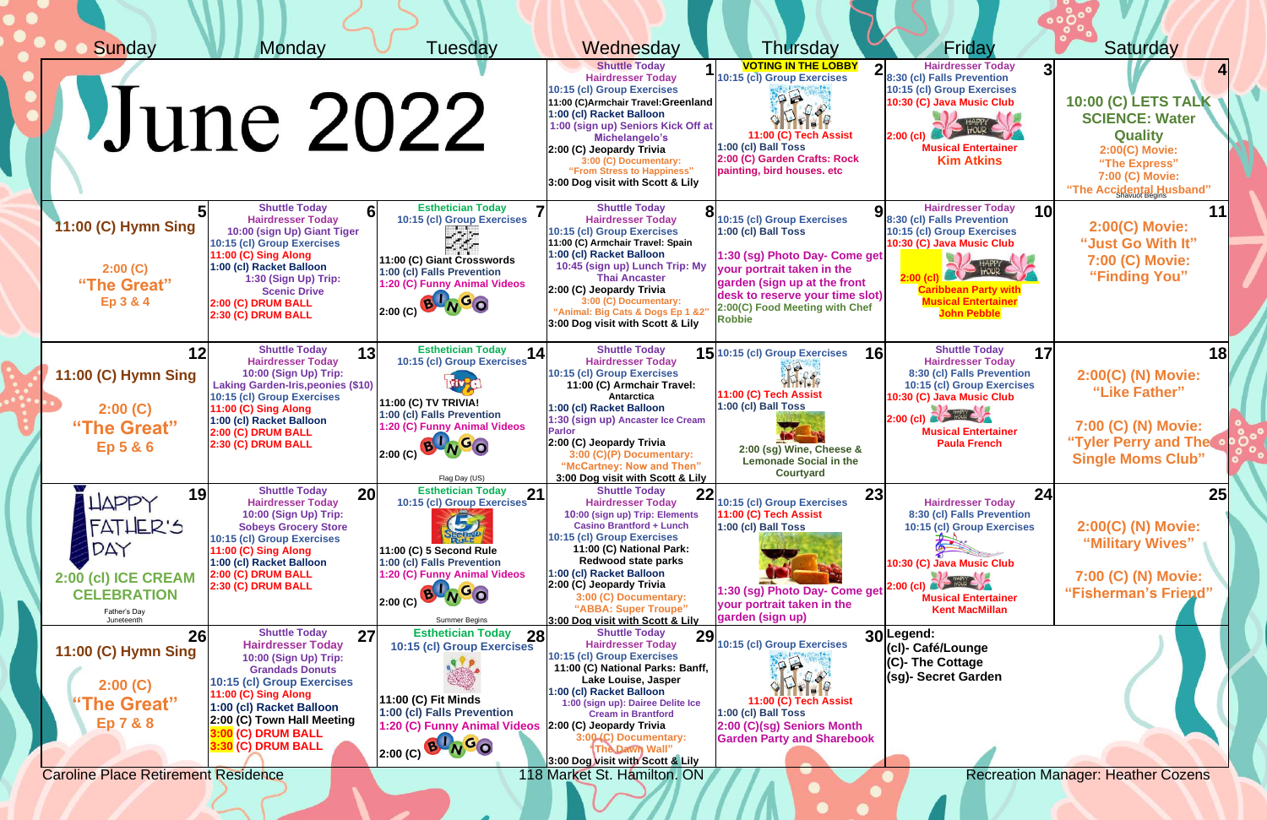| Sunday                                                                                                                   | Monday                                                                                                                                                                                                                                                                                | Tuesdav                                                                                                                                                                                                  | Wednesday                                                                                                                                                                                                                                                                                                                                                        | Thursday                                                                                                                                                                                                                                                                                                                                                                                                                                                                                                            | Friday                                                                                                                                                                                                                           | Saturday                                                                                                                                                  |
|--------------------------------------------------------------------------------------------------------------------------|---------------------------------------------------------------------------------------------------------------------------------------------------------------------------------------------------------------------------------------------------------------------------------------|----------------------------------------------------------------------------------------------------------------------------------------------------------------------------------------------------------|------------------------------------------------------------------------------------------------------------------------------------------------------------------------------------------------------------------------------------------------------------------------------------------------------------------------------------------------------------------|---------------------------------------------------------------------------------------------------------------------------------------------------------------------------------------------------------------------------------------------------------------------------------------------------------------------------------------------------------------------------------------------------------------------------------------------------------------------------------------------------------------------|----------------------------------------------------------------------------------------------------------------------------------------------------------------------------------------------------------------------------------|-----------------------------------------------------------------------------------------------------------------------------------------------------------|
|                                                                                                                          | June 2022                                                                                                                                                                                                                                                                             |                                                                                                                                                                                                          | <b>Shuttle Today</b><br><b>Hairdresser Today</b><br>10:15 (cl) Group Exercises<br>11:00 (C)Armchair Travel: Greenland<br>1:00 (cl) Racket Balloon<br>1:00 (sign up) Seniors Kick Off at<br>Michelangelo's<br>2:00 (C) Jeopardy Trivia<br>3:00 (C) Documentary:<br>"From Stress to Happiness"<br>3:00 Dog visit with Scott & Lily                                 | <b>VOTING IN THE LOBBY</b><br>10:15 (cl) Group Exercises<br>P <sup>2</sup><br>$D \cdot P$<br>11:00 (C) Tech Assist<br>1:00 (cl) Ball Toss<br>2:00 (C) Garden Crafts: Rock<br>painting, bird houses. etc                                                                                                                                                                                                                                                                                                             | <b>Hairdresser Today</b><br>8:30 (cl) Falls Prevention<br>10:15 (cl) Group Exercises<br>10:30 (C) Java Music Club<br>HAPPY<br>$2:00$ (cl)<br><b>Musical Entertainer</b><br><b>Kim Atkins</b>                                     | <b>10:00 (C) LETS TALK \</b><br><b>SCIENCE: Water</b><br><b>Quality</b><br>2:00(C) Movie:<br>"The Express"<br>7:00 (C) Movie:<br>"The Accidental Husband" |
| 11:00 (C) Hymn Sing<br>2:00(C)<br>"The Great"<br>Ep 3 & 4                                                                | <b>Shuttle Today</b><br>6 <sup>1</sup><br><b>Hairdresser Today</b><br>10:00 (sign Up) Giant Tiger<br>10:15 (cl) Group Exercises<br>11:00 (C) Sing Along<br>1:00 (cl) Racket Balloon<br>1:30 (Sign Up) Trip:<br><b>Scenic Drive</b><br><b>2:00 (C) DRUM BALL</b><br>2:30 (C) DRUM BALL | <b>Esthetician Today</b><br>7<br>10:15 (cl) Group Exercises<br>سألبونه<br>11:00 (C) Giant Crosswords<br>1:00 (cl) Falls Prevention<br>1:20 (C) Funny Animal Videos<br>2:00 (C) B NGO                     | <b>Shuttle Today</b><br><b>Hairdresser Today</b><br>10:15 (cl) Group Exercises<br>11:00 (C) Armchair Travel: Spain<br>1:00 (cl) Racket Balloon<br>10:45 (sign up) Lunch Trip: My<br><b>Thai Ancaster</b><br>2:00 (C) Jeopardy Trivia<br>3:00 (C) Documentary:<br>"Animal: Big Cats & Dogs Ep 1 &2"<br>3:00 Dog visit with Scott & Lily                           | O 10:15 (cl) Group Exercises<br>1:00 (cl) Ball Toss<br>1:30 (sg) Photo Day- Come get<br>your portrait taken in the<br>garden (sign up at the front<br>desk to reserve your time slot)<br>2:00(C) Food Meeting with Chef<br><b>Robbie</b>                                                                                                                                                                                                                                                                            | <b>Hairdresser Today</b><br>10<br>8:30 (cl) Falls Prevention<br>10:15 (cl) Group Exercises<br>10:30 (C) Java Music Club<br><b>PAS HOUR CAR</b><br><b>Musical Entertainer</b><br><b>John Pebble</b>                               | 11<br>2:00(C) Movie:<br>"Just Go With It"<br>7:00 (C) Movie:<br>"Finding You"                                                                             |
| 12<br>11:00 (C) Hymn Sing<br>2:00(C)<br>"The Great"<br><b>Ep 5 &amp; 6</b>                                               | <b>Shuttle Today</b><br>13<br><b>Hairdresser Today</b><br>10:00 (Sign Up) Trip:<br><b>Laking Garden-Iris, peonies (\$10)</b><br>10:15 (cl) Group Exercises<br><b>11:00 (C) Sing Along</b><br>1:00 (cl) Racket Balloon<br>2:00 (C) DRUM BALL<br>2:30 (C) DRUM BALL                     | <b>Esthetician Today</b><br>14<br>10:15 (cl) Group Exercises<br><b>11:00 (C) TV TRIVIA!</b><br>1:00 (cl) Falls Prevention<br>1:20 (C) Funny Animal Videos<br>2:00(C)<br>Flag Day (US)                    | <b>Shuttle Today</b><br><b>Hairdresser Today</b><br>10:15 (cl) Group Exercises<br>11:00 (C) Armchair Travel:<br>Antarctica<br>1:00 (cl) Racket Balloon<br>1:30 (sign up) Ancaster Ice Cream<br><b>Parlor</b><br>2:00 (C) Jeopardy Trivia<br>3:00 (C)(P) Documentary:<br>"McCartney: Now and Then"<br>3:00 Dog visit with Scott & Lily                            | 15 10:15 (cl) Group Exercises<br>30.98<br>11:00 (C) Tech Assist<br>1:00 (cl) Ball Toss<br>2:00 (sg) Wine, Cheese &<br><b>Lemonade Social in the</b><br><b>Courtyard</b>                                                                                                                                                                                                                                                                                                                                             | <b>Shuttle Today</b><br>17<br><b>16</b><br><b>Hairdresser Today</b><br>8:30 (cl) Falls Prevention<br>10:15 (cl) Group Exercises<br>10:30 (C) Java Music Club<br>$2:00$ (cl)<br><b>Musical Entertainer</b><br><b>Paula French</b> | 18<br>2:00(C) (N) Movie:<br>"Like Father"<br>7:00 (C) (N) Movie:<br>"Tyler Perry and The<br><b>Single Moms Club"</b>                                      |
| 19<br><b>LIAPPY</b><br>FATHER'S<br>DAY<br>2:00 (cl) ICE CREAM<br><b>CELEBRATION</b><br>Father's Day<br>Juneteenth        | <b>Shuttle Today</b><br>20<br><b>Hairdresser Today</b><br>10:00 (Sign Up) Trip:<br><b>Sobeys Grocery Store</b><br>10:15 (cl) Group Exercises<br>11:00 (C) Sing Along<br>1:00 (cl) Racket Balloon<br>2:00 (C) DRUM BALL<br>2:30 (C) DRUM BALL                                          | 10:15 (cl) Group Exercises 21<br>レン<br>11:00 (C) 5 Second Rule<br>1:00 (cl) Falls Prevention<br>1:20 (C) Funny Animal Videos<br>AGO<br>2:00(C)<br><b>Summer Begins</b>                                   | <b>Shuttle Today</b><br>22<br><b>Hairdresser Today</b><br>10:00 (sign up) Trip: Elements<br><b>Casino Brantford + Lunch</b><br>10:15 (cl) Group Exercises<br>11:00 (C) National Park:<br><b>Redwood state parks</b><br>1:00 (cl) Racket Balloon<br>2:00 (C) Jeopardy Trivia<br>3:00 (C) Documentary:<br>"ABBA: Super Troupe"<br>3:00 Dog visit with Scott & Lily | 10:15 (cl) Group Exercises<br>11:00 (C) Tech Assist<br>1:00 (cl) Ball Toss<br>1:30 (sg) Photo Day- Come get<br>your portrait taken in the<br>garden (sign up)                                                                                                                                                                                                                                                                                                                                                       | 23<br>24<br><b>Hairdresser Today</b><br>8:30 (cl) Falls Prevention<br>10:15 (cl) Group Exercises<br>10:30 (C) Java Music Club<br><b>No Hour Company</b><br>$2:00$ (cl)<br><b>Musical Entertainer</b><br><b>Kent MacMillan</b>    | 25 <sub>l</sub><br>2:00(C) (N) Movie:<br>"Military Wives"<br>7:00 (C) (N) Movie:<br>"Fisherman's Friend"                                                  |
| 26<br>11:00 (C) Hymn Sing<br>2:00(C)<br>"The Great"<br><b>Ep 7 &amp; 8</b><br><b>Caroline Place Retirement Residence</b> | <b>Shuttle Today</b><br>27<br><b>Hairdresser Today</b><br>10:00 (Sign Up) Trip:<br><b>Grandads Donuts</b><br>10:15 (cl) Group Exercises<br>11:00 (C) Sing Along<br>1:00 (cl) Racket Balloon<br>2:00 (C) Town Hall Meeting<br><b>3:00 (C) DRUM BALL</b><br><b>3:30 (C) DRUM BALL</b>   | <b>Esthetician Today</b><br><b>28</b><br>10:15 (cl) Group Exercises<br>$11:00$ (C) Fit Minds<br>1:00 (cl) Falls Prevention<br>1:20 (C) Funny Animal Videos 2:00 (C) Jeopardy Trivia<br>B NGO<br>2:00 (C) | <b>Shuttle Today</b><br>29<br><b>Hairdresser Today</b><br>10:15 (cl) Group Exercises<br>11:00 (C) National Parks: Banff,<br>Lake Louise, Jasper<br>1:00 (cl) Racket Balloon<br>1:00 (sign up): Dairee Delite Ice<br><b>Cream in Brantford</b><br>3:00 (C) Documentary:<br>The Dawn Wall"<br>3:00 Dog visit with Scott & Lily<br>118 Market St. Hamilton. ON      | 10:15 (cl) Group Exercises<br>$\begin{picture}(20,20) \put(0,0){\line(1,0){10}} \put(15,0){\line(1,0){10}} \put(15,0){\line(1,0){10}} \put(15,0){\line(1,0){10}} \put(15,0){\line(1,0){10}} \put(15,0){\line(1,0){10}} \put(15,0){\line(1,0){10}} \put(15,0){\line(1,0){10}} \put(15,0){\line(1,0){10}} \put(15,0){\line(1,0){10}} \put(15,0){\line(1,0){10}} \put(15,0){\line(1$<br>$D \cdot P$<br>11:00 (C) Tech Assist<br>1:00 (cl) Ball Toss<br>2:00 (C)(sg) Seniors Month<br><b>Garden Party and Sharebook</b> | 30 Legend:<br>(cl)- Café/Lounge<br>(C)- The Cottage<br>(sg)- Secret Garden                                                                                                                                                       | <b>Recreation Manager: Heather Cozens</b>                                                                                                                 |

 $\mathcal{L}$  ,  $\mathcal{L}$  ,  $\mathcal{L}$  ,  $\mathcal{L}$  ,  $\mathcal{L}$  ,  $\mathcal{L}$  ,  $\mathcal{L}$  ,  $\mathcal{L}$  ,  $\mathcal{L}$  ,  $\mathcal{L}$  ,  $\mathcal{L}$  ,  $\mathcal{L}$  ,  $\mathcal{L}$  ,  $\mathcal{L}$  ,  $\mathcal{L}$  ,  $\mathcal{L}$  ,  $\mathcal{L}$  ,  $\mathcal{L}$  ,  $\mathcal{L}$  ,  $\mathcal{L}$  ,